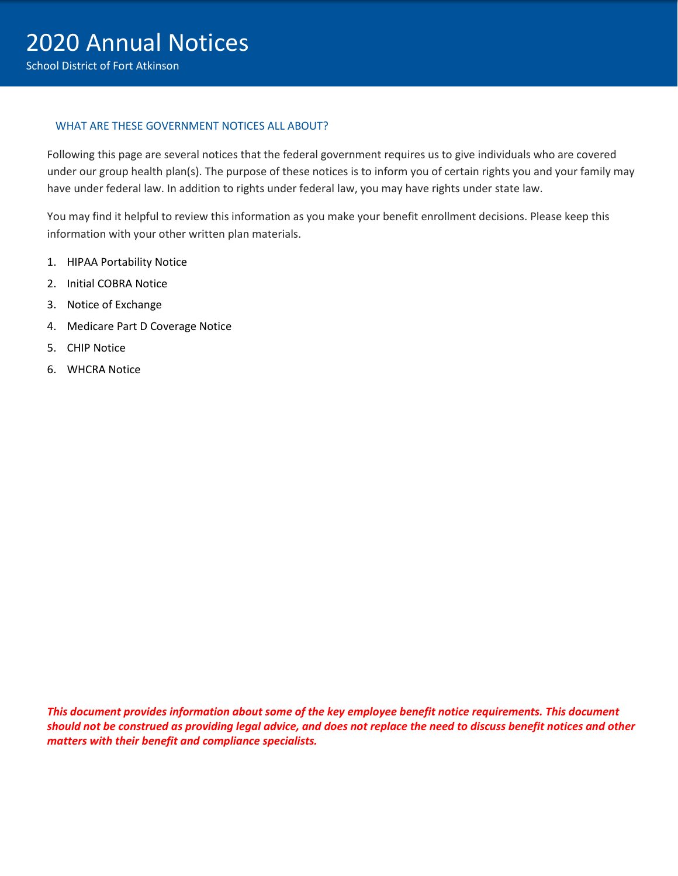#### WHAT ARE THESE GOVERNMENT NOTICES ALL ABOUT?

Following this page are several notices that the federal government requires us to give individuals who are covered under our group health plan(s). The purpose of these notices is to inform you of certain rights you and your family may have under federal law. In addition to rights under federal law, you may have rights under state law.

You may find it helpful to review this information as you make your benefit enrollment decisions. Please keep this information with your other written plan materials.

- 1. HIPAA Portability Notice
- 2. Initial COBRA Notice
- 3. Notice of Exchange
- 4. Medicare Part D Coverage Notice
- 5. CHIP Notice
- 6. WHCRA Notice

*This document provides information about some of the key employee benefit notice requirements. This document should not be construed as providing legal advice, and does not replace the need to discuss benefit notices and other matters with their benefit and compliance specialists.*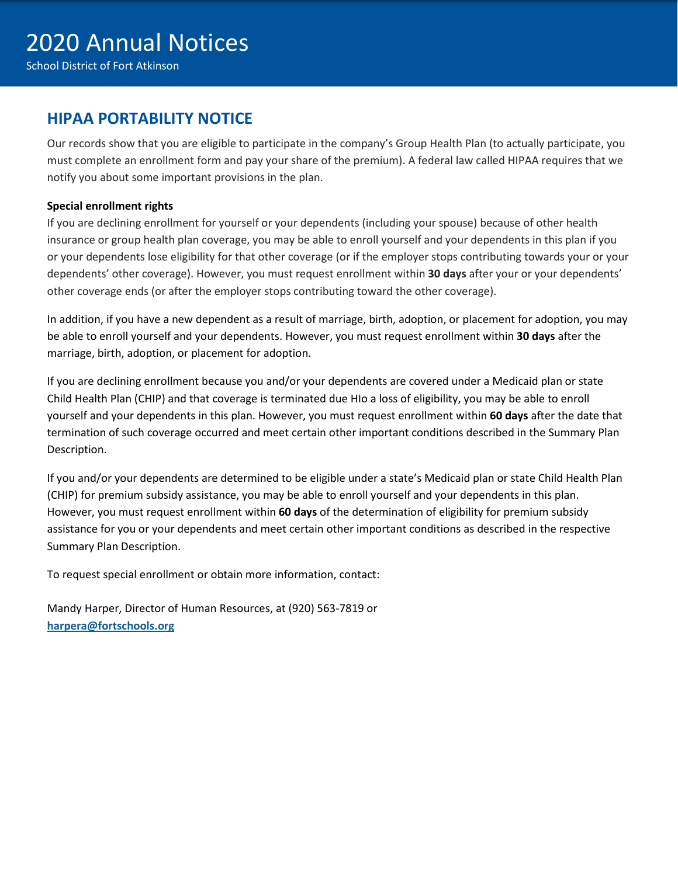## **HIPAA PORTABILITY NOTICE**

Our records show that you are eligible to participate in the company's Group Health Plan (to actually participate, you must complete an enrollment form and pay your share of the premium). A federal law called HIPAA requires that we notify you about some important provisions in the plan.

#### **Special enrollment rights**

If you are declining enrollment for yourself or your dependents (including your spouse) because of other health insurance or group health plan coverage, you may be able to enroll yourself and your dependents in this plan if you or your dependents lose eligibility for that other coverage (or if the employer stops contributing towards your or your dependents' other coverage). However, you must request enrollment within **30 days** after your or your dependents' other coverage ends (or after the employer stops contributing toward the other coverage).

In addition, if you have a new dependent as a result of marriage, birth, adoption, or placement for adoption, you may be able to enroll yourself and your dependents. However, you must request enrollment within **30 days** after the marriage, birth, adoption, or placement for adoption.

If you are declining enrollment because you and/or your dependents are covered under a Medicaid plan or state Child Health Plan (CHIP) and that coverage is terminated due HIo a loss of eligibility, you may be able to enroll yourself and your dependents in this plan. However, you must request enrollment within **60 days** after the date that termination of such coverage occurred and meet certain other important conditions described in the Summary Plan Description.

If you and/or your dependents are determined to be eligible under a state's Medicaid plan or state Child Health Plan (CHIP) for premium subsidy assistance, you may be able to enroll yourself and your dependents in this plan. However, you must request enrollment within **60 days** of the determination of eligibility for premium subsidy assistance for you or your dependents and meet certain other important conditions as described in the respective Summary Plan Description.

To request special enrollment or obtain more information, contact:

[Mandy](mailto:benefits@sunprairieschools.org) Harper, Director of Human Resources, at (920) 563-7819 or **harpera@fortschools.org**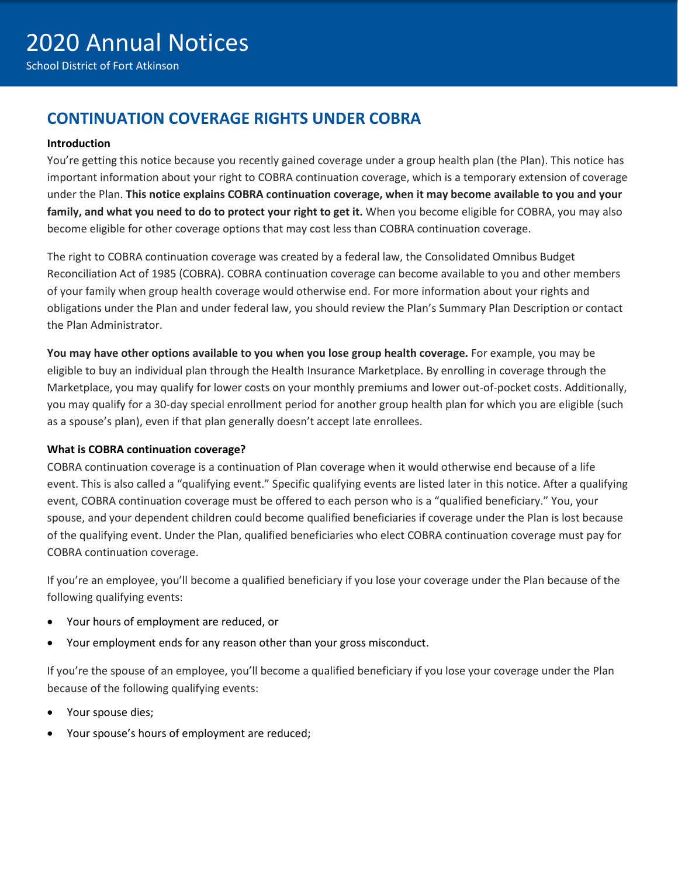# **CONTINUATION COVERAGE RIGHTS UNDER COBRA**

#### **Introduction**

You're getting this notice because you recently gained coverage under a group health plan (the Plan). This notice has important information about your right to COBRA continuation coverage, which is a temporary extension of coverage under the Plan. **This notice explains COBRA continuation coverage, when it may become available to you and your family, and what you need to do to protect your right to get it.** When you become eligible for COBRA, you may also become eligible for other coverage options that may cost less than COBRA continuation coverage.

The right to COBRA continuation coverage was created by a federal law, the Consolidated Omnibus Budget Reconciliation Act of 1985 (COBRA). COBRA continuation coverage can become available to you and other members of your family when group health coverage would otherwise end. For more information about your rights and obligations under the Plan and under federal law, you should review the Plan's Summary Plan Description or contact the Plan Administrator.

**You may have other options available to you when you lose group health coverage.** For example, you may be eligible to buy an individual plan through the Health Insurance Marketplace. By enrolling in coverage through the Marketplace, you may qualify for lower costs on your monthly premiums and lower out-of-pocket costs. Additionally, you may qualify for a 30-day special enrollment period for another group health plan for which you are eligible (such as a spouse's plan), even if that plan generally doesn't accept late enrollees.

#### **What is COBRA continuation coverage?**

COBRA continuation coverage is a continuation of Plan coverage when it would otherwise end because of a life event. This is also called a "qualifying event." Specific qualifying events are listed later in this notice. After a qualifying event, COBRA continuation coverage must be offered to each person who is a "qualified beneficiary." You, your spouse, and your dependent children could become qualified beneficiaries if coverage under the Plan is lost because of the qualifying event. Under the Plan, qualified beneficiaries who elect COBRA continuation coverage must pay for COBRA continuation coverage.

If you're an employee, you'll become a qualified beneficiary if you lose your coverage under the Plan because of the following qualifying events:

- Your hours of employment are reduced, or
- Your employment ends for any reason other than your gross misconduct.

If you're the spouse of an employee, you'll become a qualified beneficiary if you lose your coverage under the Plan because of the following qualifying events:

- Your spouse dies;
- Your spouse's hours of employment are reduced;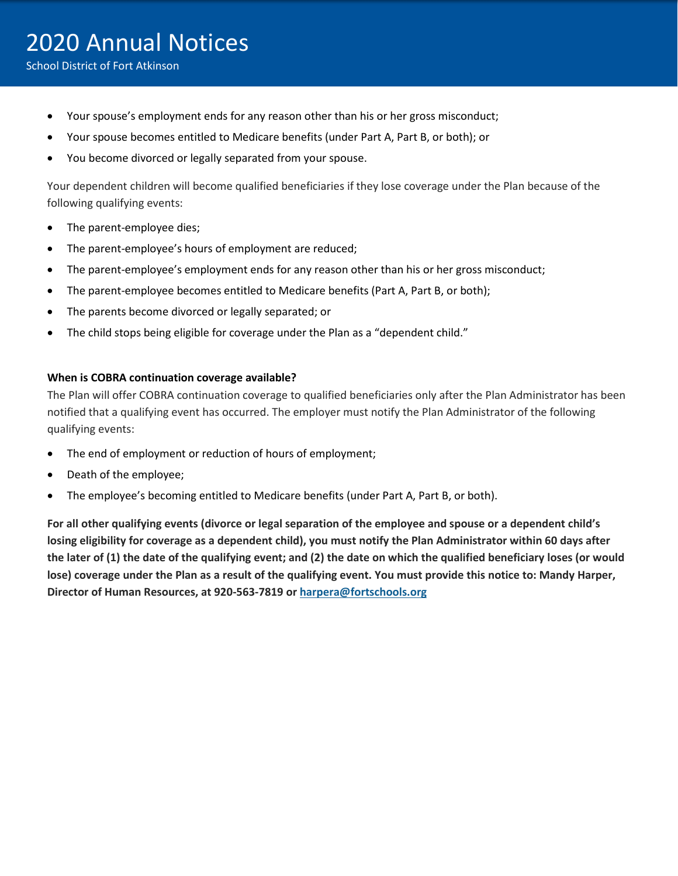- Your spouse's employment ends for any reason other than his or her gross misconduct;
- Your spouse becomes entitled to Medicare benefits (under Part A, Part B, or both); or
- You become divorced or legally separated from your spouse.

Your dependent children will become qualified beneficiaries if they lose coverage under the Plan because of the following qualifying events:

- The parent-employee dies;
- The parent-employee's hours of employment are reduced;
- The parent-employee's employment ends for any reason other than his or her gross misconduct;
- The parent-employee becomes entitled to Medicare benefits (Part A, Part B, or both);
- The parents become divorced or legally separated; or
- The child stops being eligible for coverage under the Plan as a "dependent child."

#### **When is COBRA continuation coverage available?**

The Plan will offer COBRA continuation coverage to qualified beneficiaries only after the Plan Administrator has been notified that a qualifying event has occurred. The employer must notify the Plan Administrator of the following qualifying events:

- The end of employment or reduction of hours of employment;
- Death of the employee;
- The employee's becoming entitled to Medicare benefits (under Part A, Part B, or both).

**For all other qualifying events (divorce or legal separation of the employee and spouse or a dependent child's losing eligibility for coverage as a dependent child), you must notify the Plan Administrator within 60 days after the later of (1) the date of the qualifying event; and (2) the date on which the qualified beneficiary loses (or would lose) coverage under the Plan as a result of the qualifying event. You must provide this notice to: Mandy Harper, Director of Human Resources, at 920-563-7819 o[r harpera@fortschools.org](mailto:harpera@fortschools.org)**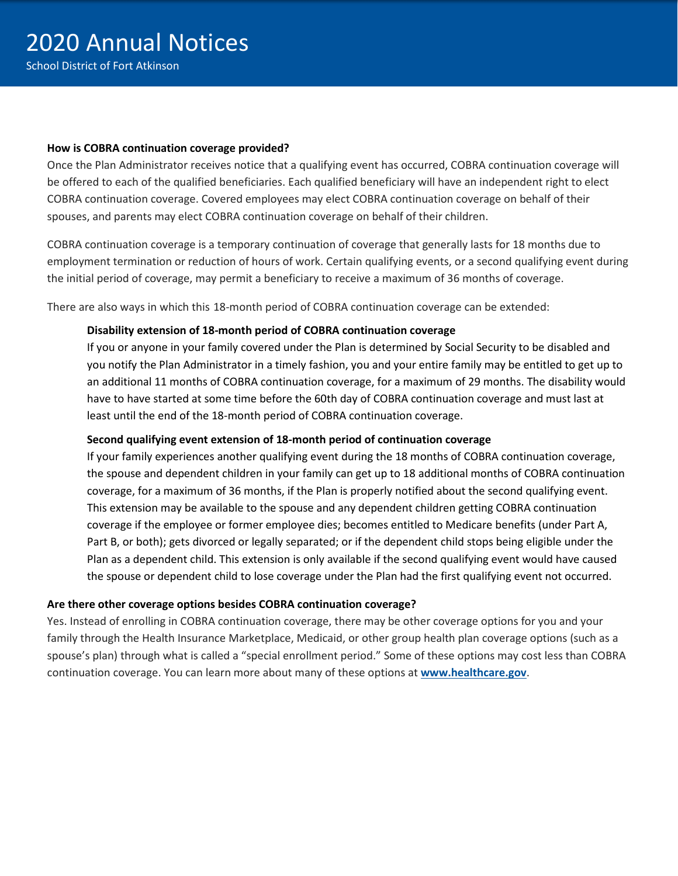#### **How is COBRA continuation coverage provided?**

Once the Plan Administrator receives notice that a qualifying event has occurred, COBRA continuation coverage will be offered to each of the qualified beneficiaries. Each qualified beneficiary will have an independent right to elect COBRA continuation coverage. Covered employees may elect COBRA continuation coverage on behalf of their spouses, and parents may elect COBRA continuation coverage on behalf of their children.

COBRA continuation coverage is a temporary continuation of coverage that generally lasts for 18 months due to employment termination or reduction of hours of work. Certain qualifying events, or a second qualifying event during the initial period of coverage, may permit a beneficiary to receive a maximum of 36 months of coverage.

There are also ways in which this 18-month period of COBRA continuation coverage can be extended:

#### **Disability extension of 18-month period of COBRA continuation coverage**

If you or anyone in your family covered under the Plan is determined by Social Security to be disabled and you notify the Plan Administrator in a timely fashion, you and your entire family may be entitled to get up to an additional 11 months of COBRA continuation coverage, for a maximum of 29 months. The disability would have to have started at some time before the 60th day of COBRA continuation coverage and must last at least until the end of the 18-month period of COBRA continuation coverage.

#### **Second qualifying event extension of 18-month period of continuation coverage**

If your family experiences another qualifying event during the 18 months of COBRA continuation coverage, the spouse and dependent children in your family can get up to 18 additional months of COBRA continuation coverage, for a maximum of 36 months, if the Plan is properly notified about the second qualifying event. This extension may be available to the spouse and any dependent children getting COBRA continuation coverage if the employee or former employee dies; becomes entitled to Medicare benefits (under Part A, Part B, or both); gets divorced or legally separated; or if the dependent child stops being eligible under the Plan as a dependent child. This extension is only available if the second qualifying event would have caused the spouse or dependent child to lose coverage under the Plan had the first qualifying event not occurred.

#### **Are there other coverage options besides COBRA continuation coverage?**

Yes. Instead of enrolling in COBRA continuation coverage, there may be other coverage options for you and your family through the Health Insurance Marketplace, Medicaid, or other group health plan coverage options (such as a spouse's plan) through what is called a "special enrollment period." Some of these options may cost less than COBRA continuation coverage. You can learn more about many of these options at **[www.healthcare.gov](http://www.healthcare.gov/)**.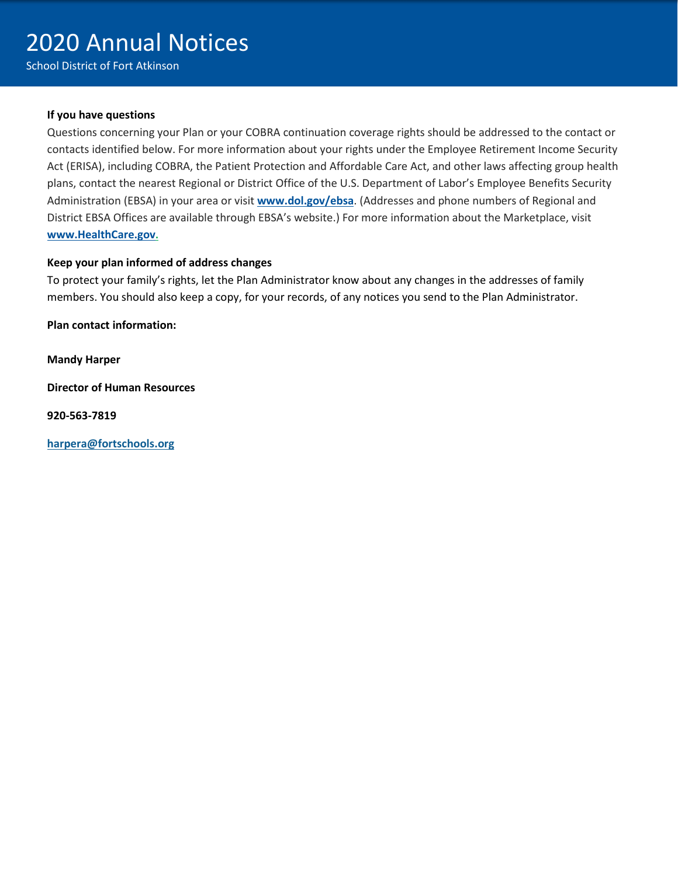#### **If you have questions**

Questions concerning your Plan or your COBRA continuation coverage rights should be addressed to the contact or contacts identified below. For more information about your rights under the Employee Retirement Income Security Act (ERISA), including COBRA, the Patient Protection and Affordable Care Act, and other laws affecting group health plans, contact the nearest Regional or District Office of the U.S. Department of Labor's Employee Benefits Security Administration (EBSA) in your area or visit **[www.dol.gov/ebsa](http://www.dol.gov/ebsa)**. (Addresses and phone numbers of Regional and District EBSA Offices are available through EBSA's website.) For more information about the Marketplace, visit **[www.HealthCare.gov.](http://www.healthcare.gov/)**

#### **Keep your plan informed of address changes**

To protect your family's rights, let the Plan Administrator know about any changes in the addresses of family members. You should also keep a copy, for your records, of any notices you send to the Plan Administrator.

**Plan contact information:**

**Mandy Harper**

**Director of Human Resources**

**920-563-7819**

**[harpera@fortschools.org](mailto:millerdj@fortschools.org)**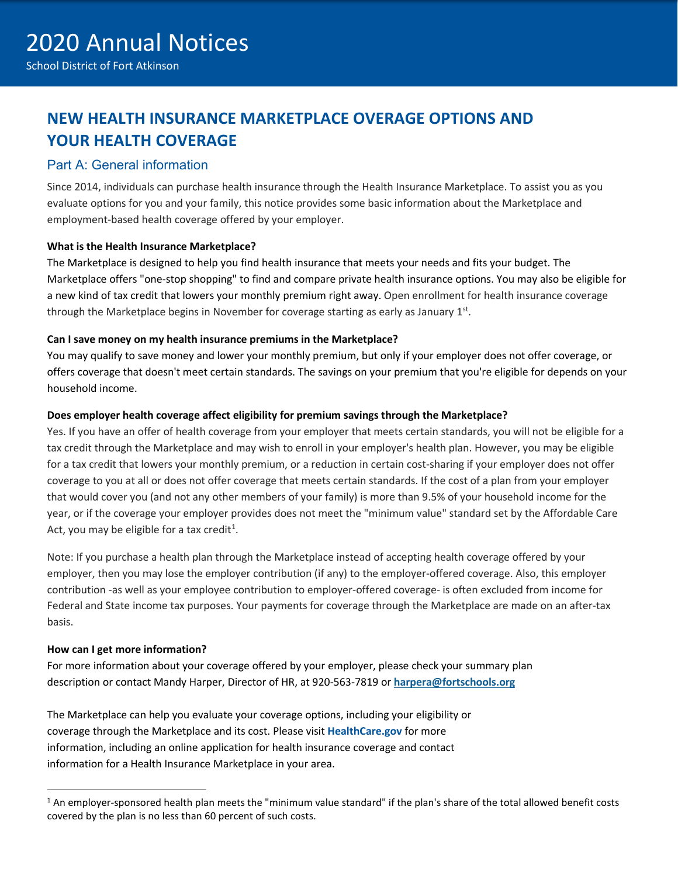# **NEW HEALTH INSURANCE MARKETPLACE OVERAGE OPTIONS AND YOUR HEALTH COVERAGE**

#### Part A: General information

Since 2014, individuals can purchase health insurance through the Health Insurance Marketplace. To assist you as you evaluate options for you and your family, this notice provides some basic information about the Marketplace and employment-based health coverage offered by your employer.

#### **What is the Health Insurance Marketplace?**

The Marketplace is designed to help you find health insurance that meets your needs and fits your budget. The Marketplace offers "one-stop shopping" to find and compare private health insurance options. You may also be eligible for a new kind of tax credit that lowers your monthly premium right away. Open enrollment for health insurance coverage through the Marketplace begins in November for coverage starting as early as January  $1<sup>st</sup>$ .

#### **Can I save money on my health insurance premiums in the Marketplace?**

You may qualify to save money and lower your monthly premium, but only if your employer does not offer coverage, or offers coverage that doesn't meet certain standards. The savings on your premium that you're eligible for depends on your household income.

#### **Does employer health coverage affect eligibility for premium savings through the Marketplace?**

Yes. If you have an offer of health coverage from your employer that meets certain standards, you will not be eligible for a tax credit through the Marketplace and may wish to enroll in your employer's health plan. However, you may be eligible for a tax credit that lowers your monthly premium, or a reduction in certain cost-sharing if your employer does not offer coverage to you at all or does not offer coverage that meets certain standards. If the cost of a plan from your employer that would cover you (and not any other members of your family) is more than 9.5% of your household income for the year, or if the coverage your employer provides does not meet the "minimum value" standard set by the Affordable Care Act, you may be eligible for a tax credit<sup>1</sup>.

Note: If you purchase a health plan through the Marketplace instead of accepting health coverage offered by your employer, then you may lose the employer contribution (if any) to the employer-offered coverage. Also, this employer contribution -as well as your employee contribution to employer-offered coverage- is often excluded from income for Federal and State income tax purposes. Your payments for coverage through the Marketplace are made on an after-tax basis.

#### **How can I get more information?**

For more information about your coverage offered by your employer, please check your summary plan description or contact Mandy Harper, Director of HR, at 920-563-7819 or **[harpera@fortschools.org](mailto:millerdj@fortschools.org)**

The Marketplace can help you evaluate your coverage options, including your eligibility or coverage through the Marketplace and its cost. Please visit **HealthCare.gov** for more information, including an online application for health insurance coverage and contact information for a Health Insurance Marketplace in your area.

<span id="page-6-0"></span><sup>&</sup>lt;sup>1</sup> An employer-sponsored health plan meets the "minimum value standard" if the plan's share of the total allowed benefit costs covered by the plan is no less than 60 percent of such costs.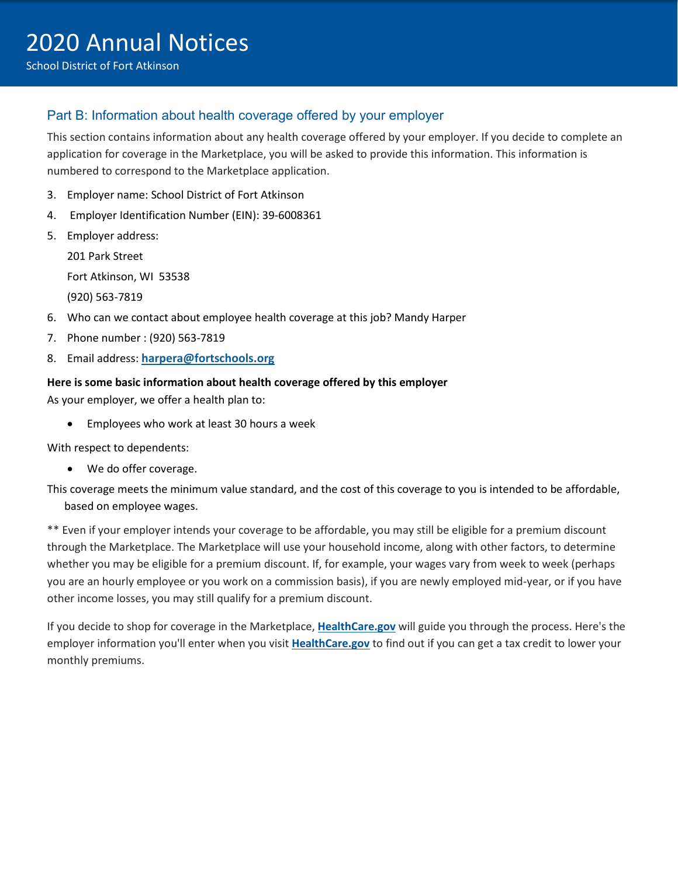### Part B: Information about health coverage offered by your employer

This section contains information about any health coverage offered by your employer. If you decide to complete an application for coverage in the Marketplace, you will be asked to provide this information. This information is numbered to correspond to the Marketplace application.

- 3. Employer name: School District of Fort Atkinson
- 4. Employer Identification Number (EIN): 39-6008361
- 5. Employer address:

201 Park Street

Fort Atkinson, WI 53538

(920) 563-7819

- 6. Who can we contact about employee health coverage at this job? Mandy Harper
- 7. Phone number : (920) 563-7819
- 8. Email address: **[harpera@fortschools.org](mailto:harpera@fortschools.org)**

#### **Here is some basic information about health coverage offered by this employer**

As your employer, we offer a health plan to:

• Employees who work at least 30 hours a week

With respect to dependents:

- We do offer coverage.
- This coverage meets the minimum value standard, and the cost of this coverage to you is intended to be affordable, based on employee wages.

\*\* Even if your employer intends your coverage to be affordable, you may still be eligible for a premium discount through the Marketplace. The Marketplace will use your household income, along with other factors, to determine whether you may be eligible for a premium discount. If, for example, your wages vary from week to week (perhaps you are an hourly employee or you work on a commission basis), if you are newly employed mid-year, or if you have other income losses, you may still qualify for a premium discount.

If you decide to shop for coverage in the Marketplace, **HealthCare.gov** will guide you through the process. Here's the employer information you'll enter when you visit **HealthCare.gov** to find out if you can get a tax credit to lower your monthly premiums.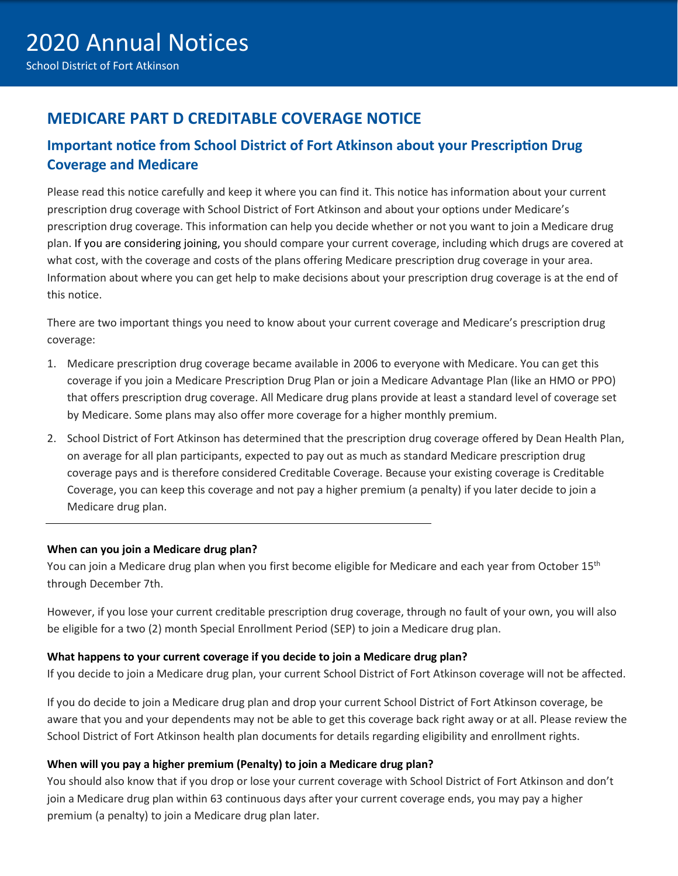## **MEDICARE PART D CREDITABLE COVERAGE NOTICE**

### **Important notice from School District of Fort Atkinson about your Prescription Drug Coverage and Medicare**

Please read this notice carefully and keep it where you can find it. This notice has information about your current prescription drug coverage with School District of Fort Atkinson and about your options under Medicare's prescription drug coverage. This information can help you decide whether or not you want to join a Medicare drug plan. If you are considering joining, you should compare your current coverage, including which drugs are covered at what cost, with the coverage and costs of the plans offering Medicare prescription drug coverage in your area. Information about where you can get help to make decisions about your prescription drug coverage is at the end of this notice.

There are two important things you need to know about your current coverage and Medicare's prescription drug coverage:

- 1. Medicare prescription drug coverage became available in 2006 to everyone with Medicare. You can get this coverage if you join a Medicare Prescription Drug Plan or join a Medicare Advantage Plan (like an HMO or PPO) that offers prescription drug coverage. All Medicare drug plans provide at least a standard level of coverage set by Medicare. Some plans may also offer more coverage for a higher monthly premium.
- 2. School District of Fort Atkinson has determined that the prescription drug coverage offered by Dean Health Plan, on average for all plan participants, expected to pay out as much as standard Medicare prescription drug coverage pays and is therefore considered Creditable Coverage. Because your existing coverage is Creditable Coverage, you can keep this coverage and not pay a higher premium (a penalty) if you later decide to join a Medicare drug plan.

#### **When can you join a Medicare drug plan?**

You can join a Medicare drug plan when you first become eligible for Medicare and each year from October 15<sup>th</sup> through December 7th.

However, if you lose your current creditable prescription drug coverage, through no fault of your own, you will also be eligible for a two (2) month Special Enrollment Period (SEP) to join a Medicare drug plan.

#### **What happens to your current coverage if you decide to join a Medicare drug plan?**

If you decide to join a Medicare drug plan, your current School District of Fort Atkinson coverage will not be affected.

If you do decide to join a Medicare drug plan and drop your current School District of Fort Atkinson coverage, be aware that you and your dependents may not be able to get this coverage back right away or at all. Please review the School District of Fort Atkinson health plan documents for details regarding eligibility and enrollment rights.

#### **When will you pay a higher premium (Penalty) to join a Medicare drug plan?**

You should also know that if you drop or lose your current coverage with School District of Fort Atkinson and don't join a Medicare drug plan within 63 continuous days after your current coverage ends, you may pay a higher premium (a penalty) to join a Medicare drug plan later.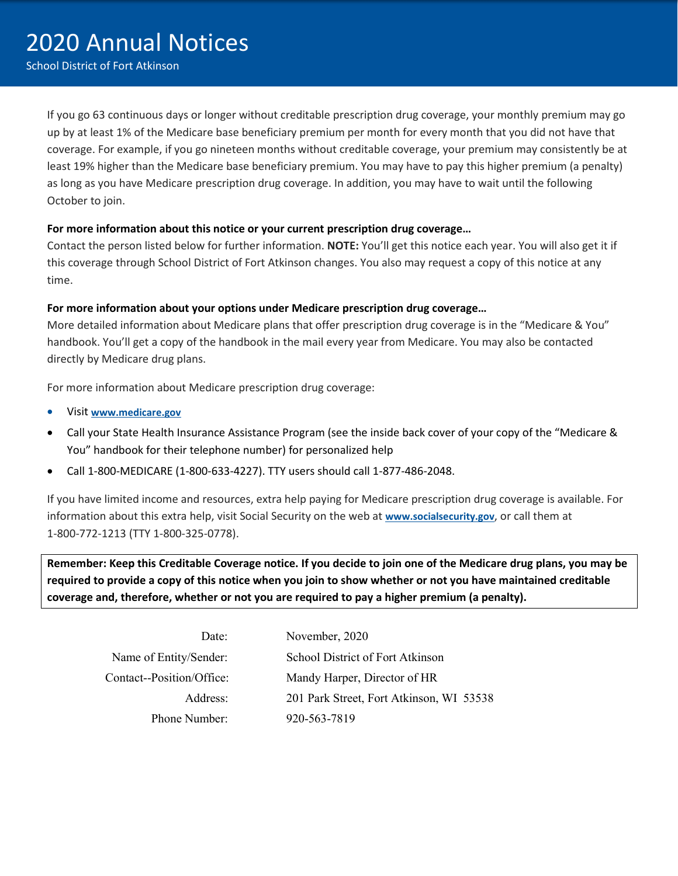If you go 63 continuous days or longer without creditable prescription drug coverage, your monthly premium may go up by at least 1% of the Medicare base beneficiary premium per month for every month that you did not have that coverage. For example, if you go nineteen months without creditable coverage, your premium may consistently be at least 19% higher than the Medicare base beneficiary premium. You may have to pay this higher premium (a penalty) as long as you have Medicare prescription drug coverage. In addition, you may have to wait until the following October to join.

#### **For more information about this notice or your current prescription drug coverage…**

Contact the person listed below for further information. **NOTE:** You'll get this notice each year. You will also get it if this coverage through School District of Fort Atkinson changes. You also may request a copy of this notice at any time.

#### **For more information about your options under Medicare prescription drug coverage…**

More detailed information about Medicare plans that offer prescription drug coverage is in the "Medicare & You" handbook. You'll get a copy of the handbook in the mail every year from Medicare. You may also be contacted directly by Medicare drug plans.

For more information about Medicare prescription drug coverage:

- Visit **[www.medicare.gov](http://www.medicare.gov/)**
- Call your State Health Insurance Assistance Program (see the inside back cover of your copy of the "Medicare & You" handbook for their telephone number) for personalized help
- Call 1-800-MEDICARE (1-800-633-4227). TTY users should call 1-877-486-2048.

If you have limited income and resources, extra help paying for Medicare prescription drug coverage is available. For information about this extra help, visit Social Security on the web at **[www.socialsecurity.gov](http://www.socialsecurity.gov/)**, or call them at 1-800-772-1213 (TTY 1-800-325-0778).

**Remember: Keep this Creditable Coverage notice. If you decide to join one of the Medicare drug plans, you may be required to provide a copy of this notice when you join to show whether or not you have maintained creditable coverage and, therefore, whether or not you are required to pay a higher premium (a penalty).** 

| Date:                     |
|---------------------------|
| Name of Entity/Sender:    |
| Contact--Position/Office: |
| Address:                  |
| Phone Number:             |

November, 2020 School District of Fort Atkinson Mandy Harper, Director of HR 201 Park Street, Fort Atkinson, WI 53538 920-563-7819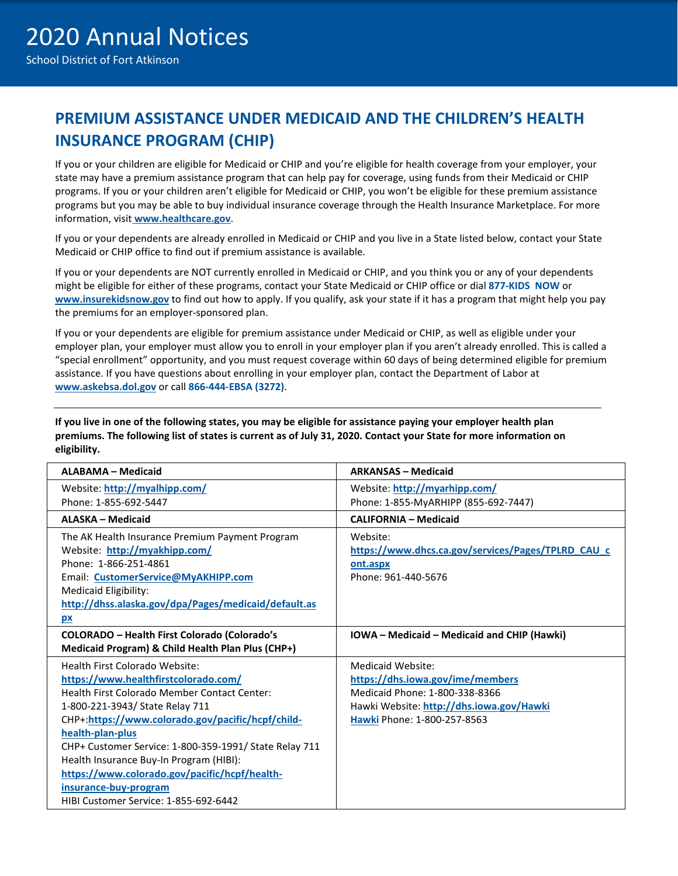# **PREMIUM ASSISTANCE UNDER MEDICAID AND THE CHILDREN'S HEALTH INSURANCE PROGRAM (CHIP)**

If you or your children are eligible for Medicaid or CHIP and you're eligible for health coverage from your employer, your state may have a premium assistance program that can help pay for coverage, using funds from their Medicaid or CHIP programs. If you or your children aren't eligible for Medicaid or CHIP, you won't be eligible for these premium assistance programs but you may be able to buy individual insurance coverage through the Health Insurance Marketplace. For more information, visit **[www.healthcare.gov](http://www.healthcare.gov/)**.

If you or your dependents are already enrolled in Medicaid or CHIP and you live in a State listed below, contact your State Medicaid or CHIP office to find out if premium assistance is available.

If you or your dependents are NOT currently enrolled in Medicaid or CHIP, and you think you or any of your dependents might be eligible for either of these programs, contact your State Medicaid or CHIP office or dial **877-KIDS NOW** or **[www.insurekidsnow.gov](http://www.insurekidsnow.gov/)** to find out how to apply. If you qualify, ask your state if it has a program that might help you pay the premiums for an employer-sponsored plan.

If you or your dependents are eligible for premium assistance under Medicaid or CHIP, as well as eligible under your employer plan, your employer must allow you to enroll in your employer plan if you aren't already enrolled. This is called a "special enrollment" opportunity, and you must request coverage within 60 days of being determined eligible for premium assistance. If you have questions about enrolling in your employer plan, contact the Department of Labor at **[www.askebsa.dol.gov](http://www.askebsa.dol.gov/)** or call **866-444-EBSA (3272)**.

**If you live in one of the following states, you may be eligible for assistance paying your employer health plan premiums. The following list of states is current as of July 31, 2020. Contact your State for more information on eligibility.**

| <b>ALABAMA - Medicaid</b>                              | <b>ARKANSAS - Medicaid</b>                         |
|--------------------------------------------------------|----------------------------------------------------|
| Website: http://myalhipp.com/                          | Website: http://myarhipp.com/                      |
| Phone: 1-855-692-5447                                  | Phone: 1-855-MyARHIPP (855-692-7447)               |
| ALASKA - Medicaid                                      | <b>CALIFORNIA - Medicaid</b>                       |
| The AK Health Insurance Premium Payment Program        | Website:                                           |
| Website: http://myakhipp.com/                          | https://www.dhcs.ca.gov/services/Pages/TPLRD_CAU_c |
| Phone: 1-866-251-4861                                  | ont.aspx                                           |
| Email: CustomerService@MyAKHIPP.com                    | Phone: 961-440-5676                                |
| Medicaid Eligibility:                                  |                                                    |
| http://dhss.alaska.gov/dpa/Pages/medicaid/default.as   |                                                    |
| pх                                                     |                                                    |
| <b>COLORADO - Health First Colorado (Colorado's</b>    | IOWA - Medicaid - Medicaid and CHIP (Hawki)        |
| Medicaid Program) & Child Health Plan Plus (CHP+)      |                                                    |
| Health First Colorado Website:                         | Medicaid Website:                                  |
| https://www.healthfirstcolorado.com/                   | https://dhs.iowa.gov/ime/members                   |
| Health First Colorado Member Contact Center:           | Medicaid Phone: 1-800-338-8366                     |
| 1-800-221-3943/ State Relay 711                        | Hawki Website: http://dhs.iowa.gov/Hawki           |
| CHP+:https://www.colorado.gov/pacific/hcpf/child-      | Hawki Phone: 1-800-257-8563                        |
| health-plan-plus                                       |                                                    |
| CHP+ Customer Service: 1-800-359-1991/ State Relay 711 |                                                    |
| Health Insurance Buy-In Program (HIBI):                |                                                    |
| https://www.colorado.gov/pacific/hcpf/health-          |                                                    |
| insurance-buy-program                                  |                                                    |
| HIBI Customer Service: 1-855-692-6442                  |                                                    |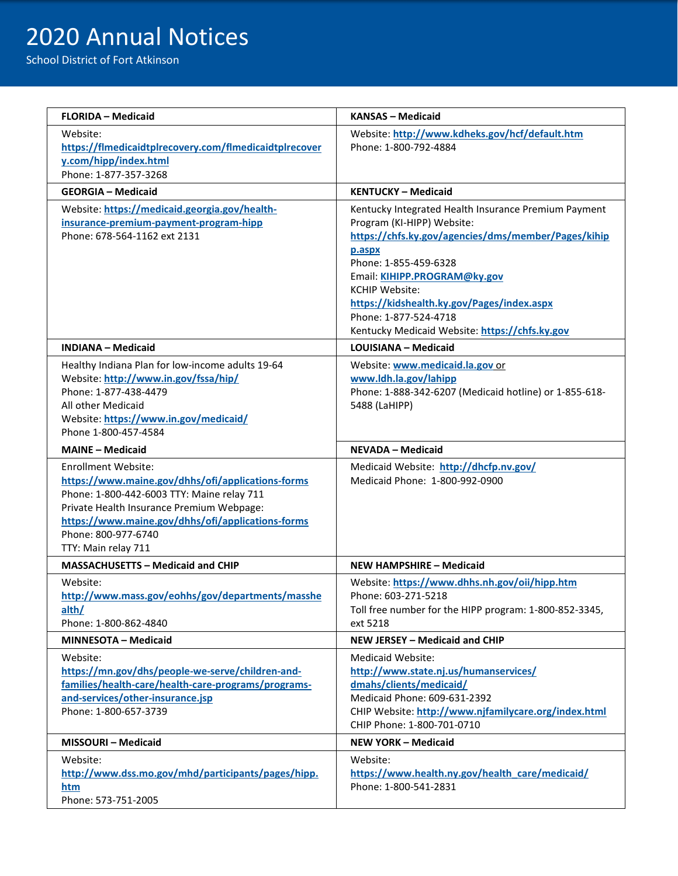# 2020 Annual Notices

School District of Fort Atkinson

| <b>FLORIDA - Medicaid</b>                                                                                                                                                                                                                                                     | <b>KANSAS - Medicaid</b>                                                                                                                                                                                                                                                                                                                                       |
|-------------------------------------------------------------------------------------------------------------------------------------------------------------------------------------------------------------------------------------------------------------------------------|----------------------------------------------------------------------------------------------------------------------------------------------------------------------------------------------------------------------------------------------------------------------------------------------------------------------------------------------------------------|
| Website:<br>https://flmedicaidtplrecovery.com/flmedicaidtplrecover<br>y.com/hipp/index.html<br>Phone: 1-877-357-3268                                                                                                                                                          | Website: http://www.kdheks.gov/hcf/default.htm<br>Phone: 1-800-792-4884                                                                                                                                                                                                                                                                                        |
| <b>GEORGIA - Medicaid</b>                                                                                                                                                                                                                                                     | <b>KENTUCKY - Medicaid</b>                                                                                                                                                                                                                                                                                                                                     |
| Website: https://medicaid.georgia.gov/health-<br>insurance-premium-payment-program-hipp<br>Phone: 678-564-1162 ext 2131                                                                                                                                                       | Kentucky Integrated Health Insurance Premium Payment<br>Program (KI-HIPP) Website:<br>https://chfs.ky.gov/agencies/dms/member/Pages/kihip<br>p.aspx<br>Phone: 1-855-459-6328<br>Email: KIHIPP.PROGRAM@ky.gov<br><b>KCHIP Website:</b><br>https://kidshealth.ky.gov/Pages/index.aspx<br>Phone: 1-877-524-4718<br>Kentucky Medicaid Website: https://chfs.ky.gov |
| <b>INDIANA - Medicaid</b>                                                                                                                                                                                                                                                     | <b>LOUISIANA - Medicaid</b>                                                                                                                                                                                                                                                                                                                                    |
| Healthy Indiana Plan for low-income adults 19-64<br>Website: http://www.in.gov/fssa/hip/<br>Phone: 1-877-438-4479<br>All other Medicaid<br>Website: https://www.in.gov/medicaid/<br>Phone 1-800-457-4584                                                                      | Website: www.medicaid.la.gov.or<br>www.ldh.la.gov/lahipp<br>Phone: 1-888-342-6207 (Medicaid hotline) or 1-855-618-<br>5488 (LaHIPP)                                                                                                                                                                                                                            |
| <b>MAINE - Medicaid</b>                                                                                                                                                                                                                                                       | <b>NEVADA - Medicaid</b>                                                                                                                                                                                                                                                                                                                                       |
| <b>Enrollment Website:</b><br>https://www.maine.gov/dhhs/ofi/applications-forms<br>Phone: 1-800-442-6003 TTY: Maine relay 711<br>Private Health Insurance Premium Webpage:<br>https://www.maine.gov/dhhs/ofi/applications-forms<br>Phone: 800-977-6740<br>TTY: Main relay 711 | Medicaid Website: http://dhcfp.nv.gov/<br>Medicaid Phone: 1-800-992-0900                                                                                                                                                                                                                                                                                       |
| <b>MASSACHUSETTS - Medicaid and CHIP</b>                                                                                                                                                                                                                                      | <b>NEW HAMPSHIRE - Medicaid</b>                                                                                                                                                                                                                                                                                                                                |
| Website:<br>http://www.mass.gov/eohhs/gov/departments/masshe<br>alth/<br>Phone: 1-800-862-4840                                                                                                                                                                                | Website: https://www.dhhs.nh.gov/oii/hipp.htm<br>Phone: 603-271-5218<br>Toll free number for the HIPP program: 1-800-852-3345,<br>ext 5218                                                                                                                                                                                                                     |
| <b>MINNESOTA - Medicaid</b>                                                                                                                                                                                                                                                   | NEW JERSEY - Medicaid and CHIP                                                                                                                                                                                                                                                                                                                                 |
| Website:<br>https://mn.gov/dhs/people-we-serve/children-and-<br>families/health-care/health-care-programs/programs-<br>and-services/other-insurance.jsp<br>Phone: 1-800-657-3739                                                                                              | <b>Medicaid Website:</b><br>http://www.state.nj.us/humanservices/<br>dmahs/clients/medicaid/<br>Medicaid Phone: 609-631-2392<br>CHIP Website: http://www.njfamilycare.org/index.html<br>CHIP Phone: 1-800-701-0710                                                                                                                                             |
| <b>MISSOURI-Medicaid</b>                                                                                                                                                                                                                                                      | NEW YORK - Medicaid                                                                                                                                                                                                                                                                                                                                            |
| Website:<br>http://www.dss.mo.gov/mhd/participants/pages/hipp.<br>htm<br>Phone: 573-751-2005                                                                                                                                                                                  | Website:<br>https://www.health.ny.gov/health care/medicaid/<br>Phone: 1-800-541-2831                                                                                                                                                                                                                                                                           |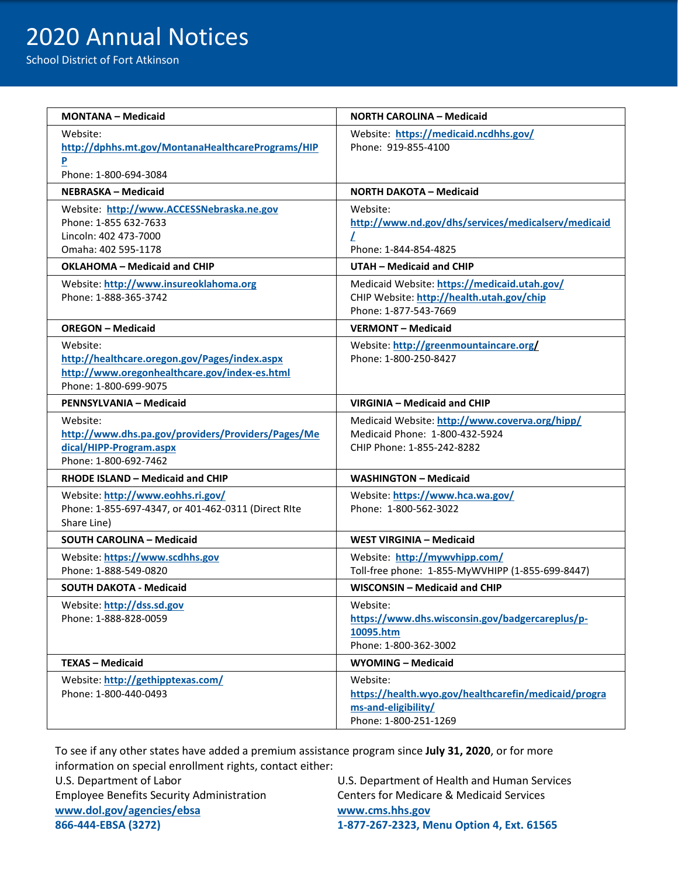# 2020 Annual Notices

School District of Fort Atkinson

| <b>MONTANA - Medicaid</b>                                                                                                           | NORTH CAROLINA – Medicaid                                                                                          |
|-------------------------------------------------------------------------------------------------------------------------------------|--------------------------------------------------------------------------------------------------------------------|
| Website:<br>http://dphhs.mt.gov/MontanaHealthcarePrograms/HIP<br>$\mathbf{P}$<br>Phone: 1-800-694-3084                              | Website: https://medicaid.ncdhhs.gov/<br>Phone: 919-855-4100                                                       |
| NEBRASKA – Medicaid                                                                                                                 | NORTH DAKOTA – Medicaid                                                                                            |
| Website: http://www.ACCESSNebraska.ne.gov<br>Phone: 1-855 632-7633<br>Lincoln: 402 473-7000<br>Omaha: 402 595-1178                  | Website:<br>http://www.nd.gov/dhs/services/medicalserv/medicaid<br>L<br>Phone: 1-844-854-4825                      |
| OKLAHOMA - Medicaid and CHIP                                                                                                        | UTAH - Medicaid and CHIP                                                                                           |
| Website: http://www.insureoklahoma.org<br>Phone: 1-888-365-3742                                                                     | Medicaid Website: https://medicaid.utah.gov/<br>CHIP Website: http://health.utah.gov/chip<br>Phone: 1-877-543-7669 |
| <b>OREGON - Medicaid</b>                                                                                                            | <b>VERMONT - Medicaid</b>                                                                                          |
| Website:<br>http://healthcare.oregon.gov/Pages/index.aspx<br>http://www.oregonhealthcare.gov/index-es.html<br>Phone: 1-800-699-9075 | Website: http://greenmountaincare.org/<br>Phone: 1-800-250-8427                                                    |
| PENNSYLVANIA - Medicaid                                                                                                             | VIRGINIA - Medicaid and CHIP                                                                                       |
| Website:<br>http://www.dhs.pa.gov/providers/Providers/Pages/Me<br>dical/HIPP-Program.aspx<br>Phone: 1-800-692-7462                  | Medicaid Website: http://www.coverva.org/hipp/<br>Medicaid Phone: 1-800-432-5924<br>CHIP Phone: 1-855-242-8282     |
| RHODE ISLAND - Medicaid and CHIP                                                                                                    | <b>WASHINGTON - Medicaid</b>                                                                                       |
| Website: http://www.eohhs.ri.gov/<br>Phone: 1-855-697-4347, or 401-462-0311 (Direct RIte<br>Share Line)                             | Website: https://www.hca.wa.gov/<br>Phone: 1-800-562-3022                                                          |
| <b>SOUTH CAROLINA - Medicaid</b>                                                                                                    | <b>WEST VIRGINIA - Medicaid</b>                                                                                    |
| Website: https://www.scdhhs.gov<br>Phone: 1-888-549-0820                                                                            | Website: http://mywvhipp.com/<br>Toll-free phone: 1-855-MyWVHIPP (1-855-699-8447)                                  |
| <b>SOUTH DAKOTA - Medicaid</b>                                                                                                      | WISCONSIN - Medicaid and CHIP                                                                                      |
| Website: http://dss.sd.gov<br>Phone: 1-888-828-0059                                                                                 | Website:<br>https://www.dhs.wisconsin.gov/badgercareplus/p-<br>10095.htm<br>Phone: 1-800-362-3002                  |
| <b>TEXAS - Medicaid</b>                                                                                                             | WYOMING - Medicaid                                                                                                 |
| Website: http://gethipptexas.com/<br>Phone: 1-800-440-0493                                                                          | Website:<br>https://health.wyo.gov/healthcarefin/medicaid/progra<br>ms-and-eligibility/<br>Phone: 1-800-251-1269   |

To see if any other states have added a premium assistance program since **July 31, 2020**, or for more information on special enrollment rights, contact either:

| U.S. Department of Labor                         |  |
|--------------------------------------------------|--|
| <b>Employee Benefits Security Administration</b> |  |
| www.dol.gov/agencies/ebsa                        |  |
| 866-444-EBSA (3272)                              |  |

U.S. Department of Health and Human Services Centers for Medicare & Medicaid Services [www.cms.hhs.gov](http://www.cms.hhs.gov/) **866-444-EBSA (3272) 1-877-267-2323, Menu Option 4, Ext. 61565**